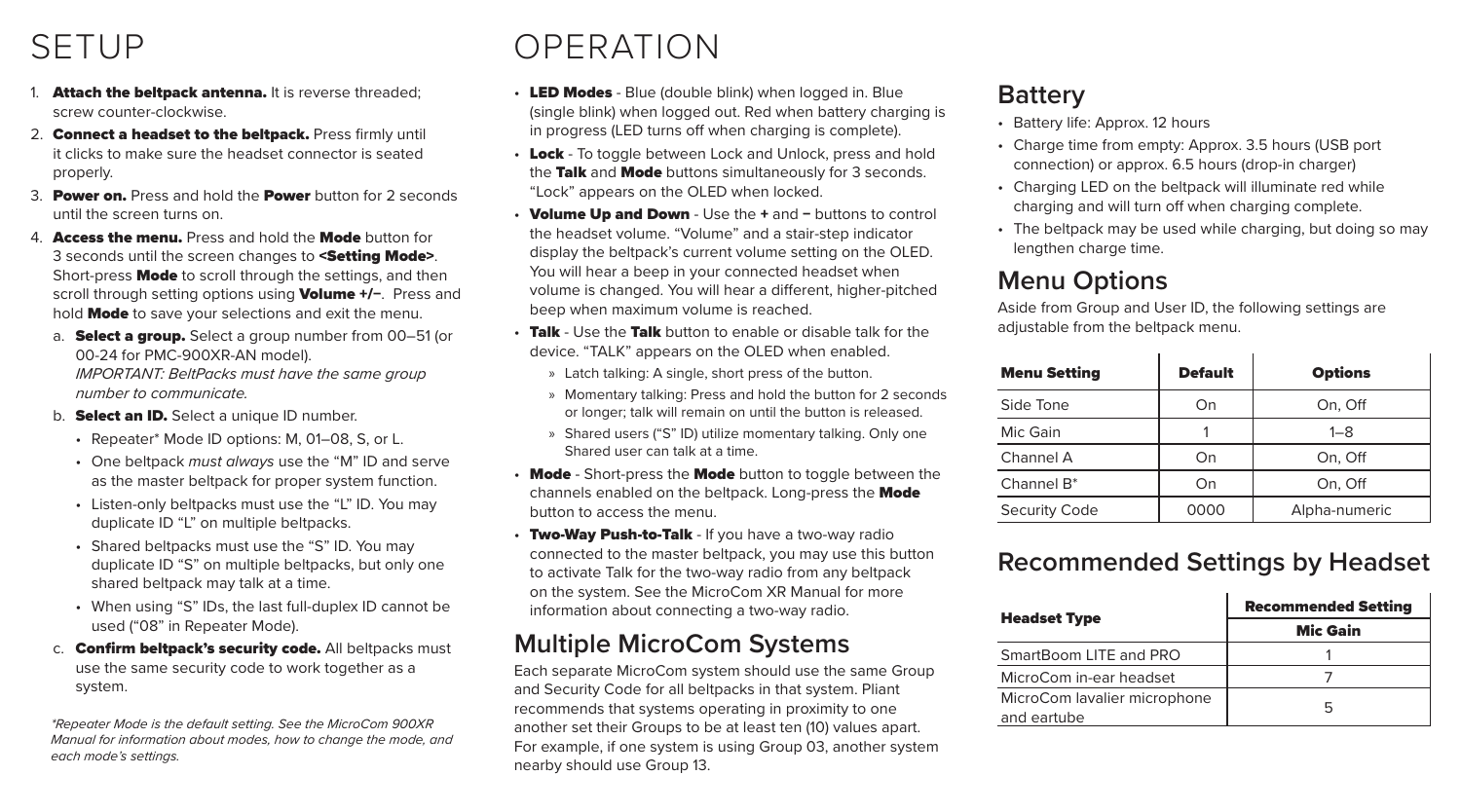## SETUP

- 1. Attach the beltpack antenna. It is reverse threaded; screw counter-clockwise.
- 2. Connect a headset to the beltpack. Press firmly until it clicks to make sure the headset connector is seated properly.
- 3. Power on. Press and hold the Power button for 2 seconds until the screen turns on.
- 4. **Access the menu.** Press and hold the **Mode** button for 3 seconds until the screen changes to <Setting Mode>. Short-press **Mode** to scroll through the settings, and then scroll through setting options using Volume +/−. Press and hold Mode to save your selections and exit the menu.
	- a. Select a group. Select a group number from 00–51 (or 00-24 for PMC-900XR-AN model). *IMPORTANT: BeltPacks must have the same group number to communicate.*
	- b. **Select an ID.** Select a unique ID number.
		- Repeater\* Mode ID options: M, 01–08, S, or L.
		- One beltpack *must always* use the "M" ID and serve as the master beltpack for proper system function.
		- Listen-only beltpacks must use the "L" ID. You may duplicate ID "L" on multiple beltpacks.
		- Shared beltpacks must use the "S" ID. You may duplicate ID "S" on multiple beltpacks, but only one shared beltpack may talk at a time.
		- When using "S" IDs, the last full-duplex ID cannot be used ("08" in Repeater Mode).
	- c. **Confirm beltpack's security code.** All beltpacks must use the same security code to work together as a system.

*\*Repeater Mode is the default setting. See the MicroCom 900XR Manual for information about modes, how to change the mode, and each mode's settings.*

# OPERATION

- LED Modes Blue (double blink) when logged in. Blue (single blink) when logged out. Red when battery charging is in progress (LED turns off when charging is complete).
- Lock To toggle between Lock and Unlock, press and hold the Talk and Mode buttons simultaneously for 3 seconds. "Lock" appears on the OLED when locked.
- Volume Up and Down Use the + and − buttons to control the headset volume. "Volume" and a stair-step indicator display the beltpack's current volume setting on the OLED. You will hear a beep in your connected headset when volume is changed. You will hear a different, higher-pitched beep when maximum volume is reached.
- Talk Use the Talk button to enable or disable talk for the device. "TALK" appears on the OLED when enabled.
	- » Latch talking: A single, short press of the button.
	- » Momentary talking: Press and hold the button for 2 seconds or longer; talk will remain on until the button is released.
	- » Shared users ("S" ID) utilize momentary talking. Only one Shared user can talk at a time.
- Mode Short-press the Mode button to toggle between the channels enabled on the beltpack. Long-press the Mode button to access the menu.
- Two-Way Push-to-Talk If you have a two-way radio connected to the master beltpack, you may use this button to activate Talk for the two-way radio from any beltpack on the system. See the MicroCom XR Manual for more information about connecting a two-way radio.

## **Multiple MicroCom Systems**

Each separate MicroCom system should use the same Group and Security Code for all beltpacks in that system. Pliant recommends that systems operating in proximity to one another set their Groups to be at least ten (10) values apart. For example, if one system is using Group 03, another system nearby should use Group 13.

#### **Battery**

- Battery life: Approx. 12 hours
- Charge time from empty: Approx. 3.5 hours (USB port connection) or approx. 6.5 hours (drop-in charger)
- Charging LED on the beltpack will illuminate red while charging and will turn off when charging complete.
- The beltpack may be used while charging, but doing so may lengthen charge time.

## **Menu Options**

Aside from Group and User ID, the following settings are adjustable from the beltpack menu.

| <b>Menu Setting</b>    | <b>Default</b> | <b>Options</b> |
|------------------------|----------------|----------------|
| Side Tone              | On             | On, Off        |
| Mic Gain               |                | $1 - 8$        |
| Channel A              | On             | On. Off        |
| Channel B <sup>*</sup> | On             | On, Off        |
| Security Code          | 0000           | Alpha-numeric  |

#### **Recommended Settings by Headset**

|                                             | <b>Recommended Setting</b> |
|---------------------------------------------|----------------------------|
| <b>Headset Type</b>                         | <b>Mic Gain</b>            |
| SmartBoom LITE and PRO                      |                            |
| MicroCom in-ear headset                     |                            |
| MicroCom lavalier microphone<br>and eartube | ь                          |